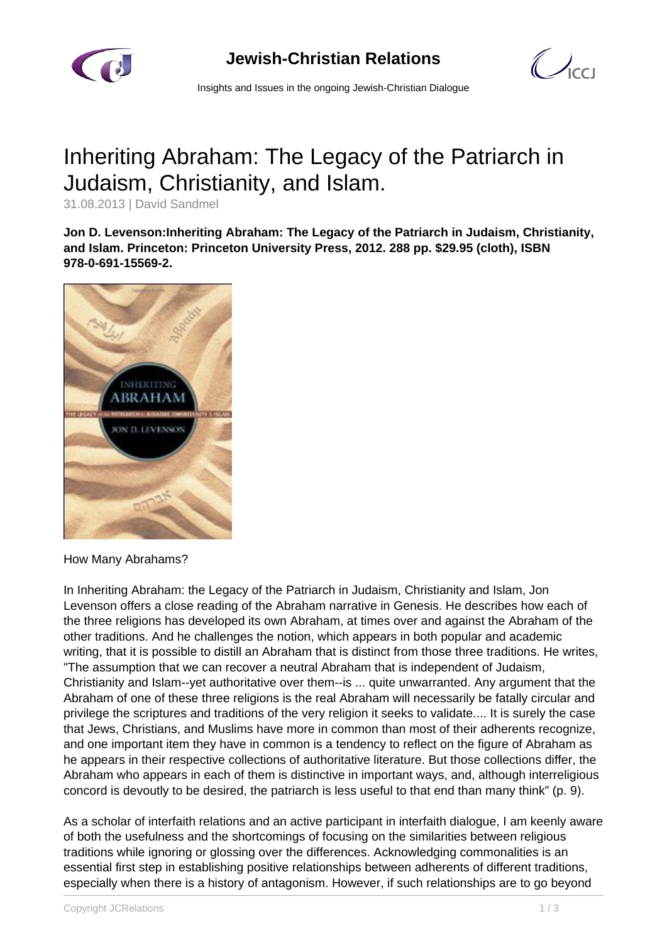

**Jewish-Christian Relations**

 $\mathcal{O}_{\text{cc}1}$ 

Insights and Issues in the ongoing Jewish-Christian Dialogue

## Inheriting Abraham: The Legacy of the Patriarch in Judaism, Christianity, and Islam.

31.08.2013 | David Sandmel

**Jon D. Levenson:Inheriting Abraham: The Legacy of the Patriarch in Judaism, Christianity, and Islam. Princeton: Princeton University Press, 2012. 288 pp. \$29.95 (cloth), ISBN 978-0-691-15569-2.**



## How Many Abrahams?

In Inheriting Abraham: the Legacy of the Patriarch in Judaism, Christianity and Islam, Jon Levenson offers a close reading of the Abraham narrative in Genesis. He describes how each of the three religions has developed its own Abraham, at times over and against the Abraham of the other traditions. And he challenges the notion, which appears in both popular and academic writing, that it is possible to distill an Abraham that is distinct from those three traditions. He writes, "The assumption that we can recover a neutral Abraham that is independent of Judaism, Christianity and Islam--yet authoritative over them--is ... quite unwarranted. Any argument that the Abraham of one of these three religions is the real Abraham will necessarily be fatally circular and privilege the scriptures and traditions of the very religion it seeks to validate.... It is surely the case that Jews, Christians, and Muslims have more in common than most of their adherents recognize, and one important item they have in common is a tendency to reflect on the figure of Abraham as he appears in their respective collections of authoritative literature. But those collections differ, the Abraham who appears in each of them is distinctive in important ways, and, although interreligious concord is devoutly to be desired, the patriarch is less useful to that end than many think" (p. 9).

As a scholar of interfaith relations and an active participant in interfaith dialogue, I am keenly aware of both the usefulness and the shortcomings of focusing on the similarities between religious traditions while ignoring or glossing over the differences. Acknowledging commonalities is an essential first step in establishing positive relationships between adherents of different traditions, especially when there is a history of antagonism. However, if such relationships are to go beyond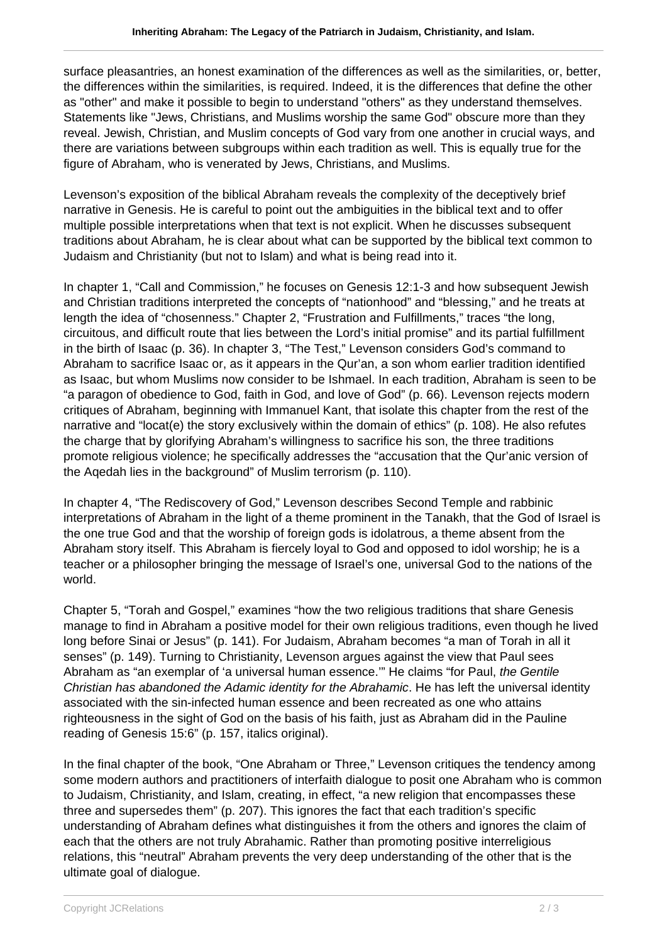surface pleasantries, an honest examination of the differences as well as the similarities, or, better, the differences within the similarities, is required. Indeed, it is the differences that define the other as "other" and make it possible to begin to understand "others" as they understand themselves. Statements like "Jews, Christians, and Muslims worship the same God" obscure more than they reveal. Jewish, Christian, and Muslim concepts of God vary from one another in crucial ways, and there are variations between subgroups within each tradition as well. This is equally true for the figure of Abraham, who is venerated by Jews, Christians, and Muslims.

Levenson's exposition of the biblical Abraham reveals the complexity of the deceptively brief narrative in Genesis. He is careful to point out the ambiguities in the biblical text and to offer multiple possible interpretations when that text is not explicit. When he discusses subsequent traditions about Abraham, he is clear about what can be supported by the biblical text common to Judaism and Christianity (but not to Islam) and what is being read into it.

In chapter 1, "Call and Commission," he focuses on Genesis 12:1-3 and how subsequent Jewish and Christian traditions interpreted the concepts of "nationhood" and "blessing," and he treats at length the idea of "chosenness." Chapter 2, "Frustration and Fulfillments," traces "the long, circuitous, and difficult route that lies between the Lord's initial promise" and its partial fulfillment in the birth of Isaac (p. 36). In chapter 3, "The Test," Levenson considers God's command to Abraham to sacrifice Isaac or, as it appears in the Qur'an, a son whom earlier tradition identified as Isaac, but whom Muslims now consider to be Ishmael. In each tradition, Abraham is seen to be "a paragon of obedience to God, faith in God, and love of God" (p. 66). Levenson rejects modern critiques of Abraham, beginning with Immanuel Kant, that isolate this chapter from the rest of the narrative and "locat(e) the story exclusively within the domain of ethics" (p. 108). He also refutes the charge that by glorifying Abraham's willingness to sacrifice his son, the three traditions promote religious violence; he specifically addresses the "accusation that the Qur'anic version of the Aqedah lies in the background" of Muslim terrorism (p. 110).

In chapter 4, "The Rediscovery of God," Levenson describes Second Temple and rabbinic interpretations of Abraham in the light of a theme prominent in the Tanakh, that the God of Israel is the one true God and that the worship of foreign gods is idolatrous, a theme absent from the Abraham story itself. This Abraham is fiercely loyal to God and opposed to idol worship; he is a teacher or a philosopher bringing the message of Israel's one, universal God to the nations of the world.

Chapter 5, "Torah and Gospel," examines "how the two religious traditions that share Genesis manage to find in Abraham a positive model for their own religious traditions, even though he lived long before Sinai or Jesus" (p. 141). For Judaism, Abraham becomes "a man of Torah in all it senses" (p. 149). Turning to Christianity, Levenson argues against the view that Paul sees Abraham as "an exemplar of 'a universal human essence." He claims "for Paul, the Gentile Christian has abandoned the Adamic identity for the Abrahamic. He has left the universal identity associated with the sin-infected human essence and been recreated as one who attains righteousness in the sight of God on the basis of his faith, just as Abraham did in the Pauline reading of Genesis 15:6" (p. 157, italics original).

In the final chapter of the book, "One Abraham or Three," Levenson critiques the tendency among some modern authors and practitioners of interfaith dialogue to posit one Abraham who is common to Judaism, Christianity, and Islam, creating, in effect, "a new religion that encompasses these three and supersedes them" (p. 207). This ignores the fact that each tradition's specific understanding of Abraham defines what distinguishes it from the others and ignores the claim of each that the others are not truly Abrahamic. Rather than promoting positive interreligious relations, this "neutral" Abraham prevents the very deep understanding of the other that is the ultimate goal of dialogue.